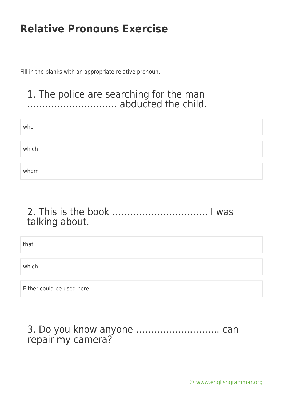Fill in the blanks with an appropriate relative pronoun.

#### 1. The police are searching for the man ………………………… abducted the child.

| who   |  |  |
|-------|--|--|
|       |  |  |
| which |  |  |
|       |  |  |
| whom  |  |  |

### 2. This is the book ………………………….. I was talking about.

that

which

Either could be used here

#### 3. Do you know anyone ………………………. can repair my camera?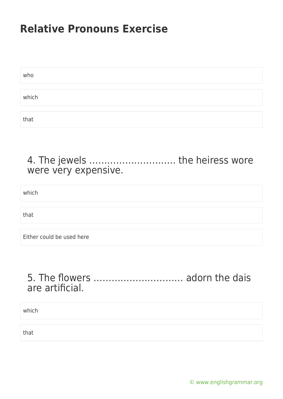| who   |  |  |
|-------|--|--|
|       |  |  |
| which |  |  |
|       |  |  |
| that  |  |  |

### 4. The jewels ……………………….. the heiress wore were very expensive.

which

that

Either could be used here

### 5. The flowers ………………………… adorn the dais are artificial.

which

that

[© www.englishgrammar.org](https://www.englishgrammar.org/)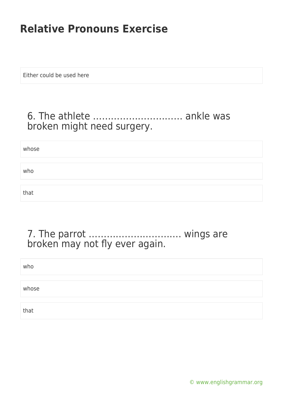Either could be used here

#### 6. The athlete ………………………… ankle was broken might need surgery.

whose who that

#### 7. The parrot …………………………. wings are broken may not fly ever again.

| who   |  |
|-------|--|
|       |  |
| whose |  |
|       |  |
| that  |  |

[© www.englishgrammar.org](https://www.englishgrammar.org/)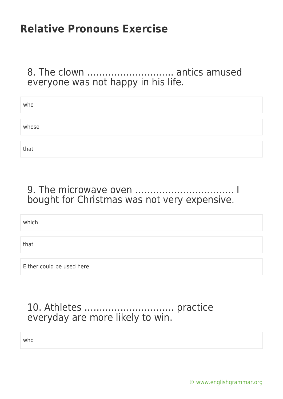### 8. The clown ……………………….. antics amused everyone was not happy in his life.

| who   |  |  |  |
|-------|--|--|--|
|       |  |  |  |
| whose |  |  |  |
|       |  |  |  |
| that  |  |  |  |

#### 9. The microwave oven …………………………… I bought for Christmas was not very expensive.

which

that

Either could be used here

### 10. Athletes ………………………… practice everyday are more likely to win.

who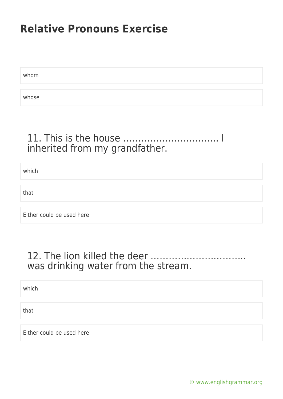whom

whose

### 11. This is the house ………………………….. I inherited from my grandfather.

which

that

Either could be used here

### 12. The lion killed the deer …………………………… was drinking water from the stream.

which

that

Either could be used here